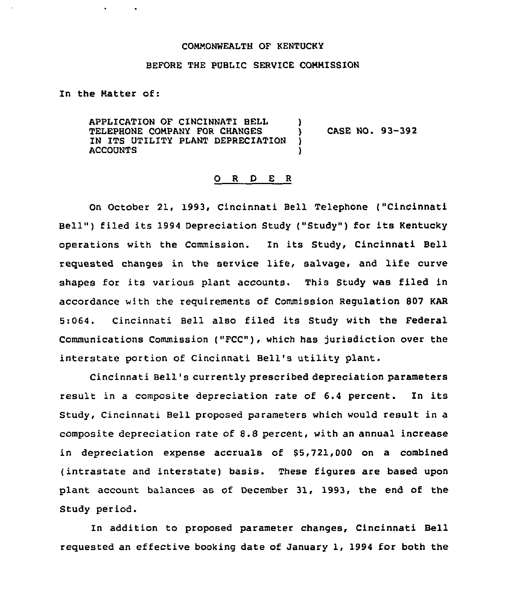### COMMONWEALTH OF KENTUCKY

### BEFORE THE PUBLIC SERVICE COMMISSION

In the Natter of:

APPLICATION OF CINCINNATI BELL )<br>TELEPHONE COMPANY FOR CHANGES ) TELEPHONE COMPANY FOR CHANGES ) CASE NO. 93-392<br>IN ITS UTILITY PLANT DEPRECIATION ) IN ITS UTILITY PLANT DEPRECIATION ) ACCOUNTS )

### 0 <sup>R</sup> <sup>D</sup> E <sup>R</sup>

On October 21, 1993, Cincinnati Bell Telephone ("Cincinnati Bell" ) filed its 1994 Depreciation Study {"Study") for its Kentucky operations with the Commission. In its Study, Cincinnati Bell requested changes in the service life, salvage, and life curve shapes for its various plant accounts. This Study was filed in accordance with the reguirements of Commission Regulation 807 KAR 5:064. Cincinnati Bell also filed its Study with the Federal Communications Commission ("FCC"), which has jurisdiction over the interstate portion of Cincinnati Bell's utility plant.

Cincinnati Bell's currently prescribed depreciation parameters result in <sup>a</sup> composite depreciation rate of 6.4 percent. In its Study, Cincinnati Bell proposed parameters which would result in a composite depreciation rate of 8.8 percent, with an annual increase in depreciation expense accruals of  $$5,721,000$  on a combined (intrastate and interstate) basis. These figures are based upon plant account balances as of December 31, 1993, the end of the Study period.

In addition to proposed parameter changes, Cincinnati Bell reguested an effective booking date of January 1, 1994 for both the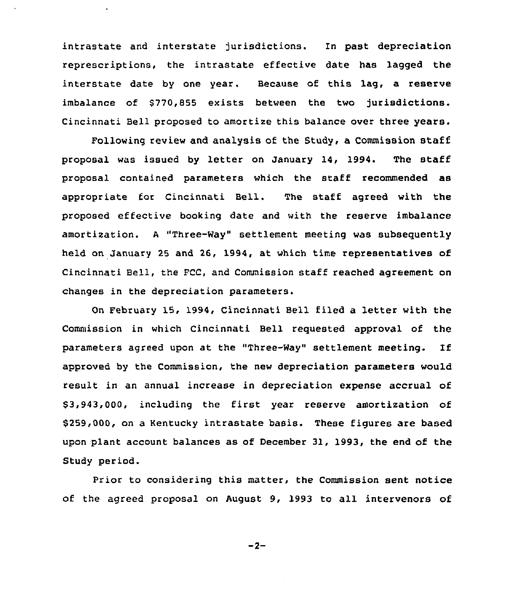intrastate and interstate jurisdictions. ln past depreciation represcriptions, the intrastate effective date has lagged the interstate date by one year. Because of this lag, a reserve imbalance of \$770,855 exists between the two jurisdictions. Cincinnati Bell proposed to amortize this balance over three years.

 $\bullet$ 

Following review and analysis of the Study, a Commission staff proposal was issued by letter on January 14, 1994. The staff proposal contained parameters which the staff recommended as appropriate for Cincinnati Bell. The staff agreed with the proposed effective booking date and with the reserve imbalance amortization. <sup>A</sup> "Three-Way" settlement meeting was subsequently held on January 25 and 26, 1994, at which time representatives of Cincinnati Bell, the FCC, and Commission staff reached agreement on changes in the depreciation parameters.

On February 15, 1994, Cincinnati Bell filed a letter with the Commission in which Cincinnati Bell requested approval of the parameters agreed upon at the "Three-Way" settlement meeting. Tf approved by the Commission, the new depreciation parameters would result in an annual increase in depreciation expense accrual of \$3,943,000, including the first year reserve amortization of \$259,000, on a Kentucky intrastate basis. These figures are based upon plant account balances as of December 31, 1993, the end of the Study period.

Prior to considering this matter, the Commission sent notice of the agreed proposal on August 9, 1993 to all intervenors of

 $-2-$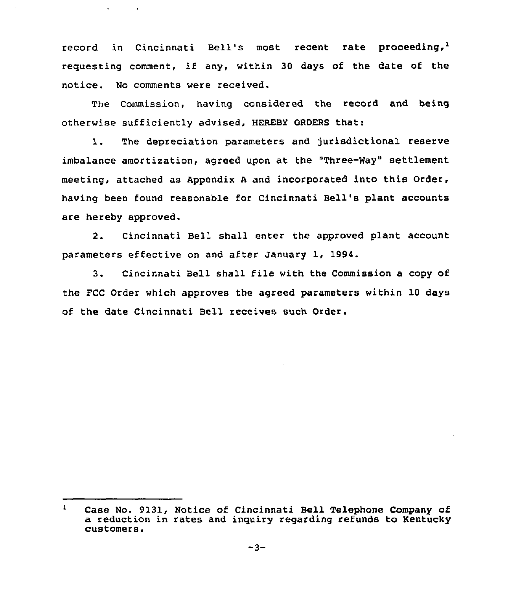record in Cincinnati Bell's most recent rate proceeding,<sup>1</sup> requesting comment, if any, within 30 days of the date of the notice. No comments were received.

The Commission, having considered the record and being otherwise sufficiently advised, HEREBY ORDERS that:

1. The depreciation parameters and jurisdictional reserve imbalance amortization, agzeed upon at the "Three-Way" settlement meeting, attached as Appendix <sup>A</sup> and incorporated into this Order, having been found reasonable for Cincinnati Bell's plant accounts are hereby approved.

2. Cincinnati Bell shall enter the approved plant account parameters effective on and after January 1, 1994.

3. Cincinnati Bell shall file with the Commission a copy of the FCC Order which approves the agreed parameters within 10 days of the date Cincinnati Bell receives such Order.

 $\mathbf{1}$ Case No. 9131, Notice of Cincinnati Bell Telephone Company of a reduction in rates and inquiry regarding refunds to Kentucky customers.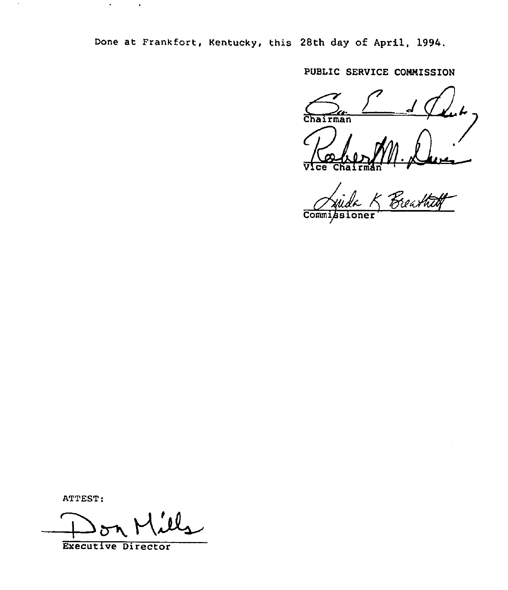Done at Frankfort, Kentucky, this 28th day of Apri1, 1994,

PUBLIC SERVICE COMMISSIO

Chairman Vice Chairma

r -<br>Reathtof Commi

ATTEST:

 $\ddot{\phantom{a}}$ 

 $\bullet$ 

 $\bullet$ 

on Mil

Executive Director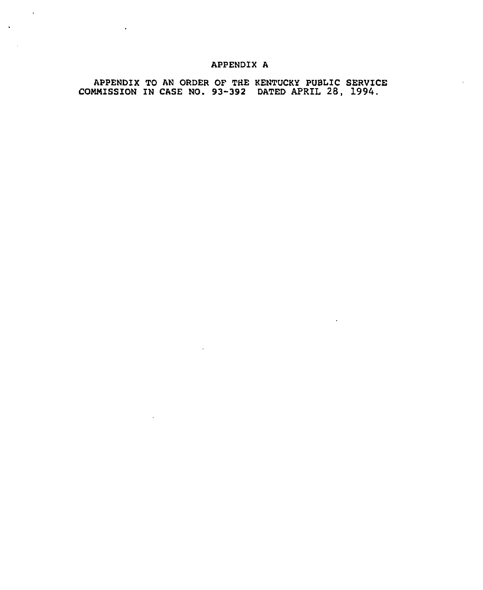# APPENDIX A

 $\sim$   $\sim$ 

APPENDIX TO AN ORDER OF THE KENTUCKY PUBLIC SERVICE CONMISSION IN CASE NO. 93-392 DATED APRIL 28, 1994.

 $\sim 10^{11}$ 

 $\sim 10$ 

 $\sim$   $\sim$ 

 $\bar{\star}$ 

 $\mathbf{A}$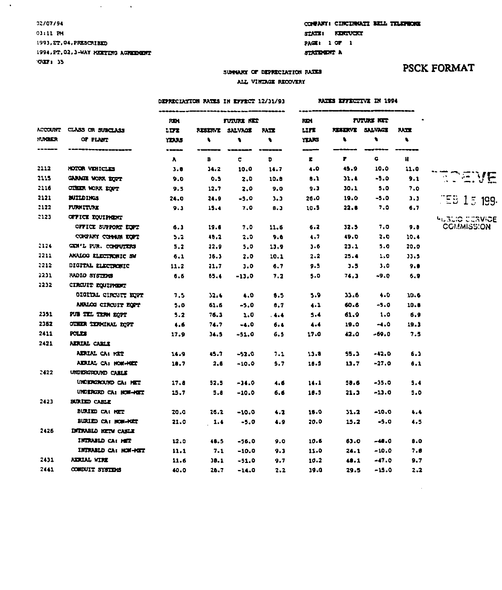### 02/07/94  $0111H$ 1993, ET, 04, PRESCRIBED 1994, PT. 02.3-WAY MEETING AGREEMENT YEREEY 15

ACCOUNT CLASS **NUMBER** 

 $\frac{1}{2}$ 

2112

2115

2116

2121

2122

 $2123$ 

2124

2211

2212

 $2231$ 

2232

2351

2352

2411

2421

2422

2423

2426

2431

2441

AIDULAL CA: HOM-HOLD

UNDERGRO CA: HOM-HOLT

BURIZD CA: HOM-HOLD

INTRABLO NETW CABLE

INDUCED CA: MET

INTRABLD CA: HOW-HET

UNDERGROUND CARLE UNDERGROUND CA: HET

BURIED CABLE BURIED CA: HET

AERIAL WIRE

COMPUIT SYSTEMS

 $10.7$ 

 $17.8$ 

 $15.7$ 

20.0

21.0

 $12.0$ 

 $11.1$ 

 $11.6$ 

40.0

 $2.6 - 10.0$ 

 $-34.0$ 

 $-10.0$ 

 $-10.0$ 

 $-5.0$ 

 $-56.0$ 

 $-10.0$ 

 $-51.0$ 

 $-14.0$ 

 $32.5$ 

 $5.8$ 

 $26.2$ 

 $1.4$ 

48.5

 $7.1$ 

 $30.1$ 

 $20.7$ 

 $\Delta \sim 10^4$ 

 $\sim 10$ 

 $\mathbf{r}$ 

## COMPANY: CINCIDRATI BELL TELEPHONE STATE: KERTUCKY PAGE: 1 OF 1

RATES EFFECTIVE IN 1994

STATEMENT A

# **PSCK FORMAT**

### SUMMARY OF DEPRECIATION RATES ALL VINIAGE RECOVERY

### DEPRECIATION RATES IN EFFECT 12/31/93

|                         | <b>RIDE</b> | FUTURE NET     |         |             | <b>RDI</b>   |                 | FUTURE NET     |            |                |
|-------------------------|-------------|----------------|---------|-------------|--------------|-----------------|----------------|------------|----------------|
| CLASS OR SUBCLASS       | <b>LITE</b> | <b>RESERVE</b> | SALVAGE | <b>RATE</b> | <b>LIFE</b>  | <b>REALISTS</b> | <b>SALVAGE</b> | <b>NIE</b> |                |
| OF PLANT                | YEARS       | ۰              | ۰       | ٠           | <b>TARS</b>  | ۰               | ۰.             | ٠          |                |
| --------------------    | -----       |                |         |             | هسوي         |                 | ------         |            |                |
|                         | A           | в              | c       | D           | $\mathbf{r}$ | Ŧ.              | a              | Ħ          |                |
| HOTOR VEHICLES          | 3.8         | 34.2           | 10.0    | 14.7        | 4.0          | 45.9            | 10.0           | 11.0       |                |
| GARAGE WORK ECCT        | 9.0         | 0.5            | 2.0     | 10.0        | 0.1          | 31.4            | $-5.0$         | 9.1        |                |
| OTHER WORK ECPT         | 9.5         | 12.7           | 2.0     | 9.0         | 9.3          | 30.1            | 5.0            | 7.0        |                |
| <b>BUILDINGS</b>        | 24.0        | 34.9           | $-5.0$  | 3.3         | 26.0         | 19.0            | $-5.0$         | 3.3        | JEB 15 199.    |
| FURNITURE               | 9.3         | 15.4           | 7.0     | 8.3         | 10.5         | 22.0            | 7.0            | 6.7        |                |
| <b>CITICE EQUIPMENT</b> |             |                |         |             |              |                 |                |            | HUBLIO CORVIDE |
| OFFICE SUPPORT EQPT     | 6.3         | 19.6           | 7.0     | 11.6        | 6.2          | 32.5            | 7.0            | 9.8        | COMMISSION     |
| CONFINY COMMIN EQPT     | 5.2         | 48,2           | 2.0     | 9.6         | 4.7          | 49.0            | 2.0            | 10.4       |                |
| GEN'L PUR. COMPUTERS    | 5.2         | 22.9           | 5.0     | 13.9        | 3.6          | 23.1            | 5.0            | 20.0       |                |
| ANALOG ELECTRONIC SW    | 6.1         | 36.3           | 2.0     | 10.1        | $2 - 2$      | $25 - 4$        | 1.0            | 33.5       |                |
| DIGITAL ELECTRONIC      | 11.2        | 21.7           | 3.0     | 6.7         | $9 - 5$      | $3 - 5$         | 3.0            | 9.8        |                |
| RADIO SYSTEMS           | 6.6         | 55.4           | $-13.0$ | 7.2         | 5.0          | 74.3            | $-9.0$         | 6.9        |                |
| CIRCUIT EQUIPMENT       |             |                |         |             |              |                 |                |            |                |
| OIGITAL CIRCUIT EOPT    | 7.5         | 32.4           | 4.0     | 1.5         | 5.9          | 33.6            | 4.0            | 10.6       |                |
| ANALOG CIRCUIT EQUIT    | 5.0         | 61.6           | -5.0    | 8.7         | $4 - 1$      | 60.6            | $-5.0$         | 10.8       |                |
| PUB TEL TERM EQPT       | 5.2         | 76.3           | 1.0     | $-4.4$      | 5.4          | 61.9            | 1.0            | 6.9        |                |
| CIHER TERMINAL EQPT     | 4.6         | 74.7           | $-4.0$  | 6.4         | 4.4          | 19.0            | $-1.0$         | 19.1       |                |
| POLICE                  | 17.9        | 34.5           | $-51.0$ | 6.5         | 17.0         | 42.0            | -69.0          | 7.5        |                |
| AERIAL CARLE            |             |                |         |             |              |                 |                |            |                |
| AIRLAL CAI RET          | 14.9        | 45.7           | $-52.0$ | 7.1         | 13.8         | 55.3            | $-42.0$        | 6.3        |                |

18.5

 $14.1$ 

 $10.5$ 

18.0

20.0

10.6

11.0

 $10.2$ 

39.0

 $5.7$ 

 $4.6$ 

 $6.6$ 

 $4.2$ 

 $4.9$ 

 $9.0$ 

 $9.3$ 

 $9.7$ 

 $2.2$ 

 $-27.0$ 

 $-35.0$ 

 $-13.0$ 

 $-10.0$ 

 $-5.0$ 

 $-48.0$ 

 $-10.0$ 

 $-47.0$ 

 $-15.0$ 

 $6.1$ 

 $5.4$ 

 $5.0$ 

 $4.4$ 

 $4.5$ 

 $8.0$ 

 $7.6$ 

 $9.7$ 

 $2.2$ 

 $13.7$ 

58.6

 $21.3$ 

 $31.2$ 

 $15.2$ 

63.0

 $24.1$ 

 $48.1$ 

 $29.5$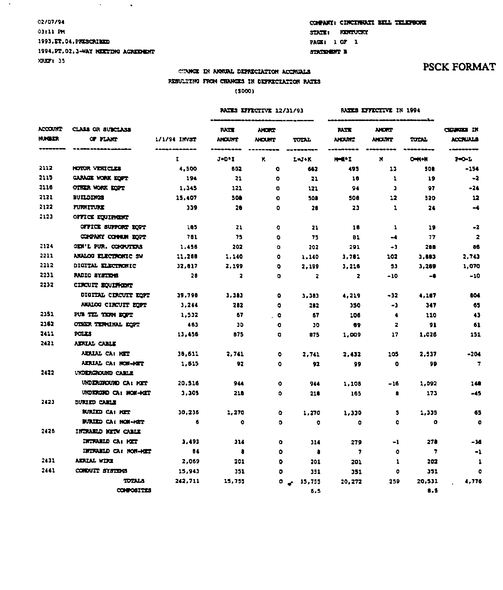## 02/07/94 03:11 PM 1993, ET. 04, PRESCRIEED 1994, PT. 02, 3-WAY MEETING AGRIEDENT XRX71 35

 $\mathcal{A}^{\text{max}}$  and  $\mathcal{A}^{\text{max}}$ 

 $\sim$ 

# COMPANY: CINCINNATI BELL TELEPHONE STATE: KERTVOKY PAGE: 1 OF 1

STATEMENT B

# COUNCE IN ANNUAL DEPRECIATION ACCRUALS RESULTING FROM CHANGES IN DEPRECIATION RATES

 $(5000)$ 

|                                            |                                     |              |                              | RAIES EFFECTIVE 12/31/93     |                         | RATES EFFECTIVE IN 1994      |                              |           |                              |
|--------------------------------------------|-------------------------------------|--------------|------------------------------|------------------------------|-------------------------|------------------------------|------------------------------|-----------|------------------------------|
| ACCOUNT<br><b><i>RIDAN</i></b><br>-------- | CLASS OR SUBCLASS<br>OF FLART       | 1/1/94 INVST | <b>IATE</b><br><b>ANOUNT</b> | <b>NORT</b><br><b>NICURT</b> | TUTAL                   | <b>NATE</b><br><b>AHDUNT</b> | <b>NORT</b><br><b>ANOUNT</b> | TUTAL     | <b>CENTER IN</b><br>ACCTUALS |
|                                            | <b>No. of the company's company</b> | τ.           | $J = D^*I$                   | ĸ                            | L=J+K                   | <b>H-ENT</b>                 | N                            | $O-M-M$   | $P = 0 - L$                  |
| 2112                                       | <b>NOTOR VEHICLES</b>               | 4.500        | 662                          | o.                           | 662                     | 495                          | 13                           | 508       | $-154$                       |
| 2115                                       | CARACTE WORK EOPT                   | 194          | 21                           | $\bullet$                    | 21                      | 18                           | 1                            | 19        | -2                           |
| 2116                                       | OTHER WORK ECOPY                    | 1.345        | 121                          | ۰                            | 121                     | 94                           | ı                            | 97        | -24                          |
| 2121                                       | <b>BUILDINGS</b>                    | 15,407       | 500                          | ۰                            | 508                     | 500                          | 12                           | 520       | 12                           |
| 2122                                       | <b>FURNITURE</b>                    | 339          | 20                           | Ō.                           | 28                      | 23                           | $\mathbf{r}$                 | 24        | $\blacktriangleleft$         |
| 2123                                       | <b>OFFICE EQUIPMENT</b>             |              |                              |                              |                         |                              |                              |           |                              |
|                                            | OFFICE SUPPORT DOPT                 | 105          | 21                           | $\circ$                      | 21                      | 18                           | 1                            | 19        | -2                           |
|                                            | COMPANY COMMUN EOPT                 | 781          | 75                           | $\bullet$                    | 75                      | 81                           | $-4$                         | 77        | $\overline{\mathbf{z}}$      |
| 2124                                       | GEN'L PUR. COMPUTERS                | 1.456        | 202                          | $\bullet$                    | 202                     | 291                          | -1                           | 288       | 86                           |
| 2211                                       | ANALOG ELECTRONIC SW                | 11,288       | 1,140                        | ۰                            | 1,140                   | 1,781                        | 102                          | 3,883     | 2,743                        |
| 2212                                       | DIGITAL ELECTRONIC                  | 32.017       | 2.199                        | $\bullet$                    | 2,199                   | 3,216                        | 53                           | 3,269     | 1,070                        |
| 2231                                       | RADIO SYSTEMS                       | 28           | $\mathbf{z}$                 | ۰                            | $\overline{\mathbf{z}}$ | 2                            | $-10$                        | -8        | -10                          |
| 2232                                       | CIRCUIT EQUIPMENT                   |              |                              |                              |                         |                              |                              |           |                              |
|                                            | DIGITAL CIRCUIT EOPT                | 39.798       | 3.383                        | $\bullet$                    | 3.383                   | 4.219                        | $-32$                        | 4,167     | 804                          |
|                                            | <b>ANALOG CIRCUIT ZOPT</b>          | 3.244        | 282                          | ٥                            | 282                     | 350                          | -1                           | 347       | 65                           |
| 2351                                       | PUB TEL TERM ROPT                   | 1,532        | 67                           | $\overline{\phantom{a}}$     | 67                      | 106                          | $\bullet$                    | 110       | 43                           |
| 2362                                       | OTHER TERMINAL EQPT                 | 463          | 30                           | $\bullet$                    | 30                      | 89                           | 2                            | 91        | 61                           |
| 2411                                       | POLES                               | 13,456       | 875                          | o                            | 875                     | 1.009                        | 17                           | 1.026     | 151                          |
| 2421                                       | <b>ADUAL CARLE</b>                  |              |                              |                              |                         |                              |                              |           |                              |
|                                            | ARALAL CA: HET                      | 36,611       | 2.741                        | ۰                            | 2,741                   | 2.432                        | 105                          | 2,517     | $-204$                       |
|                                            | AERIAL CA: NOW-HET                  | 1.615        | 92                           | ۰                            | 92                      | 99                           | ۰                            | 99        | $\overline{7}$               |
| 2422                                       | UNDERGROUND CASHE                   |              |                              |                              |                         |                              |                              |           |                              |
|                                            | UNDERGROUND CA: HET                 | 20,516       | 944                          | $\bullet$                    | 944                     | 1,108                        | $-16$                        | 1,092     | 148                          |
|                                            | UNDERGIO CA: NON-HET                | 3.305        | 218                          | ۰                            | 218                     | 165                          | в                            | 173       | $-45$                        |
| 2423                                       | DURIED CARLE                        |              |                              |                              |                         |                              |                              |           |                              |
|                                            | BURIED CAI HET                      | 30,236       | 1,270                        | $\bullet$                    | 1,270                   | 1,330                        | 5                            | 1,335     | 65                           |
|                                            | BURLED CA: HOW-HET                  | - 6          | ۰                            | o.                           | $\bullet$               | ٥                            | ٥                            | $\bullet$ | o                            |
| 2426                                       | INDRABLD NETWORKER                  |              |                              |                              |                         |                              |                              |           |                              |
|                                            | DITIVABLE CA: MET                   | 3,493        | 374                          | ۰                            | 314                     | 279                          | -1                           | 278       | -36                          |
|                                            | <b>INTRABILD CA: NON-HOLT</b>       | - 84         | а                            | ۰                            | а                       | - 7                          | ۰                            | 7         | -1                           |
| 2431                                       | <b>ADUAL WIRE</b>                   | 2,069        | 201                          | ۰                            | 201                     | 201                          | 1                            | 202       | 1                            |
| 2441                                       | CONDUIT SYSTEMS                     | 15,943       | 351                          | ۰                            | 351                     | 351                          | ۰                            | 351       | $\bullet$                    |
|                                            | TOTALA                              | 242,711      | 15.755                       | ۰                            | $-15,755$               | 20,272                       | 259                          | 20.531    | 4.776                        |
|                                            | CONFOSITES                          |              |                              |                              | 6.5                     |                              |                              | 8.5       |                              |

# **PSCK FORMAT**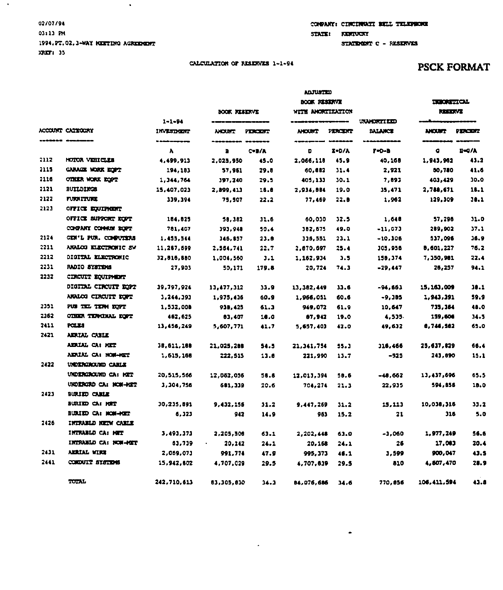## 02/07/94 03:13 PM 1994.PT.02.3-WAY MEETING AGREEMENT  $XRIT1$  35

 $\bullet$ 

 $\langle \cdot \rangle$ 

## COMPANY: CINCINNATI BELL TELEPROME STATE: KENTUCKY STATEMENT C - RESERVES

 $\bullet$ 

### CALCULATION OF RESERVES 1-1-94

# **PSCK FORMAT**

|           | ACCOUNT CATTOORY           |                                   | BOOK RESERVE  |                      | ADJUSTED<br>BOOK RESERVE<br>WITH AMORTIZATION |         |                                      | <b>THE ORIGINAL</b><br><b>KEEDIVE</b> |               |
|-----------|----------------------------|-----------------------------------|---------------|----------------------|-----------------------------------------------|---------|--------------------------------------|---------------------------------------|---------------|
|           |                            | $1 - 1 - 94$<br><b>INVESTMENT</b> | <b>ANCURT</b> | <b>PERCENT</b>       |                                               | PERCERT | <b>UNIVERTALED</b><br><b>BALANCE</b> | <b>NOUT</b>                           | PERCENT       |
| ------- - |                            | ------------<br>$\lambda$         | в             | -------<br>$C = B/A$ | D                                             | $I-D/A$ | $P = 0 - 3$                          | ۰                                     | $B=0/\lambda$ |
| 2112      | HOTOR VEHICLES             | 4,499,913                         | 2,025,950     | 45.0                 | 2,066,110                                     | 45.9    | 40,168                               | 1,943,962                             | 43.2          |
| 2115      | CARACTE WORK ECOPY         | 194,183                           | 57,961        | 29.8                 | 60,882                                        | 31.4    | 2,921                                | 50,780                                | 41.6          |
| 2116      | OTHER WORK EOPT            | 1,344,754                         | 397,240       | 29.5                 | 405,133                                       | 30.1    | 7,893                                | 403,429                               | 30.0          |
| 2121      | <b>BUYLDINGS</b>           | 15,407,023                        | 2,899,413     | 10.0                 | 2,934,884                                     | 19.0    | 35,471                               | 2,788,671                             | 10.1          |
| 2122      | <b>FURNITURE</b>           | 339,394                           | 75,507        | 22.2                 | 77,469                                        | 22.8    | 1.962                                | 129,309                               | 30.1          |
| 2123      | OFFICE EQUIPMENT           |                                   |               |                      |                                               |         |                                      |                                       |               |
|           | <b>OFFICE SUPPORT ROPT</b> | 184.825                           | 58,382        | 31.6                 | 60,030                                        | 32.5    | 1,648                                | 57.296                                | 31.0          |
|           | CONFANY COMMUN BOPT        | 781.407                           | 393.948       | 50.4                 | 382,675                                       | 49.0    | -11,073                              | 289,902                               | 37.1          |
| 2124      | CEN'L PUR. COMPUTERS       | 1,455,544                         | 346,857       | 23.8                 | 336,551                                       | 23.1    | $-10,306$                            | 537,096                               | 36.9          |
| 2211      | ANALOG ELECTRONIC SW       | 11,287,699                        | 2,554,741     | 22.7                 | 2,670,697                                     | 25.4    | <b>JO5,956</b>                       | 8,601,227                             | 76.2          |
| 2212      | DIGITAL ELECTRONIC         | 32,016,000                        | 1,004,560     | 3.1                  | 1,162,934                                     | 3.5     | 158,374                              | 7,150,981                             | 22.4          |
| 2231      | <b>RADIO SYSTEMS</b>       | 27.903                            | 50.171        | 179.8                | 20.724                                        | 74.3    | $-29.447$                            | 25,257                                | 94.1          |
| 2232      | CIRCUIT EQUIPMENT          |                                   |               |                      |                                               |         |                                      |                                       |               |
|           | DIGITAL CIRCUIT EOPT       | 39.797.924                        | 13,477.312    | 33.9                 | 13,382,449                                    | 33.6    | -94,661                              | 15, 163, 009                          | 30.1          |
|           | ANALOG CIRCUIT EQPT        | 3,244,393                         | 1.975.436     | 60.9                 | 1,966,051                                     | 60.6    | $-9.185$                             | 1,943,391                             | 59.9          |
| 2351      | PUB TELL TERM EQPT         | 1,532,008                         | 938.425       | 61.3                 | 949,072                                       | 61.9    | 10.647                               | 735,364                               | 48.0          |
| 2362      | CINER TENCHAL FORT         | 467,625                           | 83,407        | 10.0                 | 87,942                                        | 19.0    | 4.535                                | 159,606                               | 34.5          |
| 2411      | POLICE                     | 13,456,249                        | 5,607,771     | 41.7                 | 5,657,403                                     | 42.0    | 49.632                               | 8.746.582                             | 65.0          |
| 2421      | ADUAL CAILE                |                                   |               |                      |                                               |         |                                      |                                       |               |
|           | ADUAL CAI KET              | 38.611.188                        | 21.025.208    | 54.5                 | 21,341,754                                    | 55.J    | 316,466                              | 25,637,829                            | 66.4          |
|           | ADUAL CAINOF-HET           | 1,615,166                         | 222.515       | 13.8                 | 221,990                                       | 13.7    | -325                                 | 243.890                               | 15.1          |
| 2422      | <b>UNDERGROUND CARLE</b>   |                                   |               |                      |                                               |         |                                      |                                       |               |
|           | UNDERGROUND CA: KET        | 20,515,566                        | 12,052.055    | 58.8                 | 12.013.394                                    | 58.6    | $-48, 662$                           | 13, 437, 696                          | 65.5          |
|           | URDERGRO CA: NOW-HET       | 3,304,756                         | 681.339       | 20.6                 | 704,274                                       | 21.3    | 22.935                               | 594,856                               | 18.0          |
| 2423      | BURIED CABLE               |                                   |               |                      |                                               |         |                                      |                                       |               |
|           | BURIED CA: MET             | 30,235,591                        | 9,432.155     | 31.2                 | 9,447,269                                     | 31.2    | 15, 113                              | 10,038,316                            | 33.2          |
|           | BURIED CA: MOM-HET         | 6.323                             | 942           | 14.9                 | 963                                           | 15.2    | 21                                   | 316                                   | 5.0           |
| 2426      | INTRABLO NETW CABLE        |                                   |               |                      |                                               |         |                                      |                                       |               |
|           | INTRABLO CA: MET           | 3,493,373                         | 2,205,506     | 63.1                 | 2,202,448                                     | 63.0    | -3,060                               | 1,977,249                             | 56.6          |
|           | INTRABID CA: NOW-HOT       | 83,739                            | 20.142        | 24.1                 | 20,168                                        | 24.1    | 26                                   | 17,083                                | 20.4          |
| 2431      | <b>ADRIAL VIRE</b>         | 2,069,073                         | 991.774       | 47.9                 | 995, 373                                      | 45.1    | 3.599                                | 900,047                               | 43.5          |
| 2441      | CONDUIT SYSTEMS            | 15,942,802                        | 4,707.029     | 29.5                 | 4,707,639                                     | 29.5    | 810                                  | 4,507,470                             | 28.9          |
|           | TOTAL                      | 242,710,613                       | 83,305,830    | 34.3                 | 84,076,686                                    | 34.6    | 770,856                              | 106, 411, 594                         | 4.1.8         |

 $\overline{\phantom{a}}$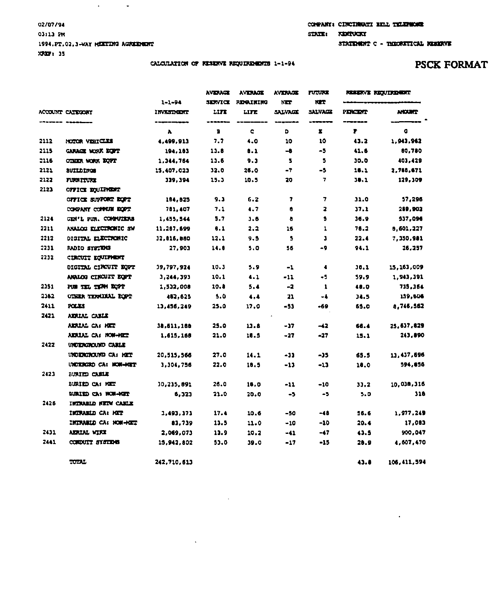## 02/07/94 03113 PM 1994.PT.02.3-WAY MEETING AGREEMENT XRXIF: 35

TOTAL

242,710,613

 $\ddot{\phantom{a}}$ 

 $\mathcal{A}^{\text{max}}_{\text{max}}$  and  $\mathcal{A}^{\text{max}}_{\text{max}}$ 

CALCULATION OF RESERVE REQUIREMENTS 1-1-94

| COMPANY: CINCINGURY RELL TELEMENT |  |
|-----------------------------------|--|
| <b>STATE: KERTUCKI</b>            |  |

 $43.8 -$ 

106, 411, 594

 $\blacksquare$ 

STATEMENT C - THEORETICAL NEEDEVE

|      |                            | $1 - 1 - 94$      | AVERAGE<br>3.007 | <b>AVERAGE</b><br><b>REGAINING</b> | <b>AVERAGE</b><br>NET | <b>FUTURE</b><br><b>NIT</b> | <b>RESERVE REQUIREMENT</b> |               |
|------|----------------------------|-------------------|------------------|------------------------------------|-----------------------|-----------------------------|----------------------------|---------------|
|      | ACCOUNT CAIRCONY           | <b>INVESTIGAT</b> | LITT             | LITE                               | SALVAGE               | SALVAGE                     | <b>PERCENT</b>             | <b>ANOUNT</b> |
|      |                            | λ                 | в                | c                                  | D                     | х                           | 1                          | G             |
| 2112 | NOTOR VEHICLES             | 4.499.913         | 7.7              | 4.0                                | 10                    | 10                          | 43.2                       | 1,943,962     |
| 2115 | GARAGE WORK DOPT           | 194.183           | 11.0             | 0.1                                | -8                    | $-5$                        | 41.6                       | 80.780        |
| 2116 | OTHER WORK DOPT            | 1,344,764         | 11.6             | 9.3                                | 5                     | 5                           | 30.0                       | 403,429       |
| 2121 | <b>BUILDINGS</b>           | 15,407,023        | 32.0             | 26.0                               | -7                    | -5                          | 16.1                       | 2,788,671     |
| 2122 | <b>FURNITURE</b>           | 339,394           | 15.3             | 10.5                               | 20                    | 7                           | 38.1                       | 129,309       |
| 2123 | <b>OFFICE EQUIPMENT</b>    |                   |                  |                                    |                       |                             |                            |               |
|      | OFFICE SUPPORT DOPT        | 184.825           | 9.3              | 6.2                                | 7                     | 7                           | 31.0                       | 57,296        |
|      | CONDANY COMMUN EOPT        | 781,407           | 7.1              | 1.7                                | Ũ                     | 2                           | 37.1                       | 289,902       |
| 2124 | GEN'L PUN. COMPUTERS       | 1,455,544         | 5,7              | 3.5                                | a                     | 5                           | 38.9                       | 537,096       |
| 2211 | ANAIOG ELECTRONIC SW       | 11,287.699        | 8.1              | 2.2                                | 16                    | 1                           | 78.2                       | 8,601,227     |
| 2212 | DIGITAL ELECTRONIC         | 32,816,880        | 12.1             | 9.5                                | 5                     | J                           | 22.4                       | 7,350,981     |
| 2231 | RADIO SYSTEMS              | 27,903            | 14.8             | 5.0                                | 56                    | -9                          | 94.1                       | 26,257        |
| 2232 | <b>CIRCUIT EQUIPMENT</b>   |                   |                  |                                    |                       |                             |                            |               |
|      | DIGITAL CIRCUIT EOPT       | 39,797,924        | 10.3             | 5.9                                | -1                    | $\bullet$                   | 30.1                       | 15,163,009    |
|      | ANALOG CIRCUIT DOPT        | 3,244,393         | 10,1             | 4.1                                | -11                   | -5                          | 59.9                       | 1.943,391     |
| 2351 | PUB TILL TENN EQPT         | 1,532,008         | 10.0             | 5.4                                | -2                    | 1                           | 48.0                       | 735,364       |
| 2582 | OTHER TERMINAL ROPT        | 482,625           | 5.0              | $\bullet\cdot\bullet$              | 21                    | -4                          | <b>J4.5</b>                | 139,606       |
| 2411 | POLICE                     | 13,456,249        | 25.0             | 17.0                               | - 53                  | -69                         | 65.0                       | 8.746,562     |
| 2421 | AERIAL CABLE               |                   |                  |                                    |                       |                             |                            |               |
|      | AERIAL CA: HET             | 38.611.168        | 25.0             | 13.8                               | - 17                  | -42                         | 66.4                       | 25.637.629    |
|      | AKAIAL CA: NOW-HICE        | 1,615,160         | 21.0             | 16.5                               | $-27$                 | -27                         | 15.1                       | 243,890       |
| 2422 | UNDERGROUND CABLE          |                   |                  |                                    |                       |                             |                            |               |
|      | UNDERCROUND CA: MET        | 20.515.566        | 27.0             | 14.1                               | -31                   | -35                         | 65.5                       | 13.437.696    |
|      | UNDERCRO CA: MON-HOLT      | 3.304.756         | 22.0             | 10.5                               | $-13$                 | $-13$                       | 10.0                       | 594,856       |
| 2423 | BURIED CABLE               |                   |                  |                                    |                       |                             |                            |               |
|      | BURIED CA: HET             | 30,235.891        | 26.0             | 18.0                               | $-11$                 | $-10$                       | 33.2                       | 10.030,316    |
|      | <b>BURIED CA: NOW-HEET</b> | 6,323             | 21.0             | 20.0                               | -5                    | -5                          | 5.0                        | 316           |
| 2426 | INTRUBID NETWORKIE         |                   |                  |                                    |                       |                             |                            |               |
|      | INTRANIO CA: MIT           | 1,493,373         | 17.4             | 10.6                               | -50                   | -48                         | 56.6                       | 1.977.249     |
|      | INTRABLD CA: NON-HET       | 83,739            | 13.5             | 11.0                               | $-10$                 | -10                         | 20.4                       | 17,083        |
| 2431 | ADUAL WINI                 | 2,069,073         | 11.9             | 10.2                               | -41                   | -47                         | 43.5                       | 900,047       |
| 2441 | CORDUIT SYSTEMS            | 15,942,802        | 53.0             | 39.0                               | -17                   | -15                         | 28.9                       | 4.607.470     |

 $\mathcal{A}$ 

# PSCK FORMAT